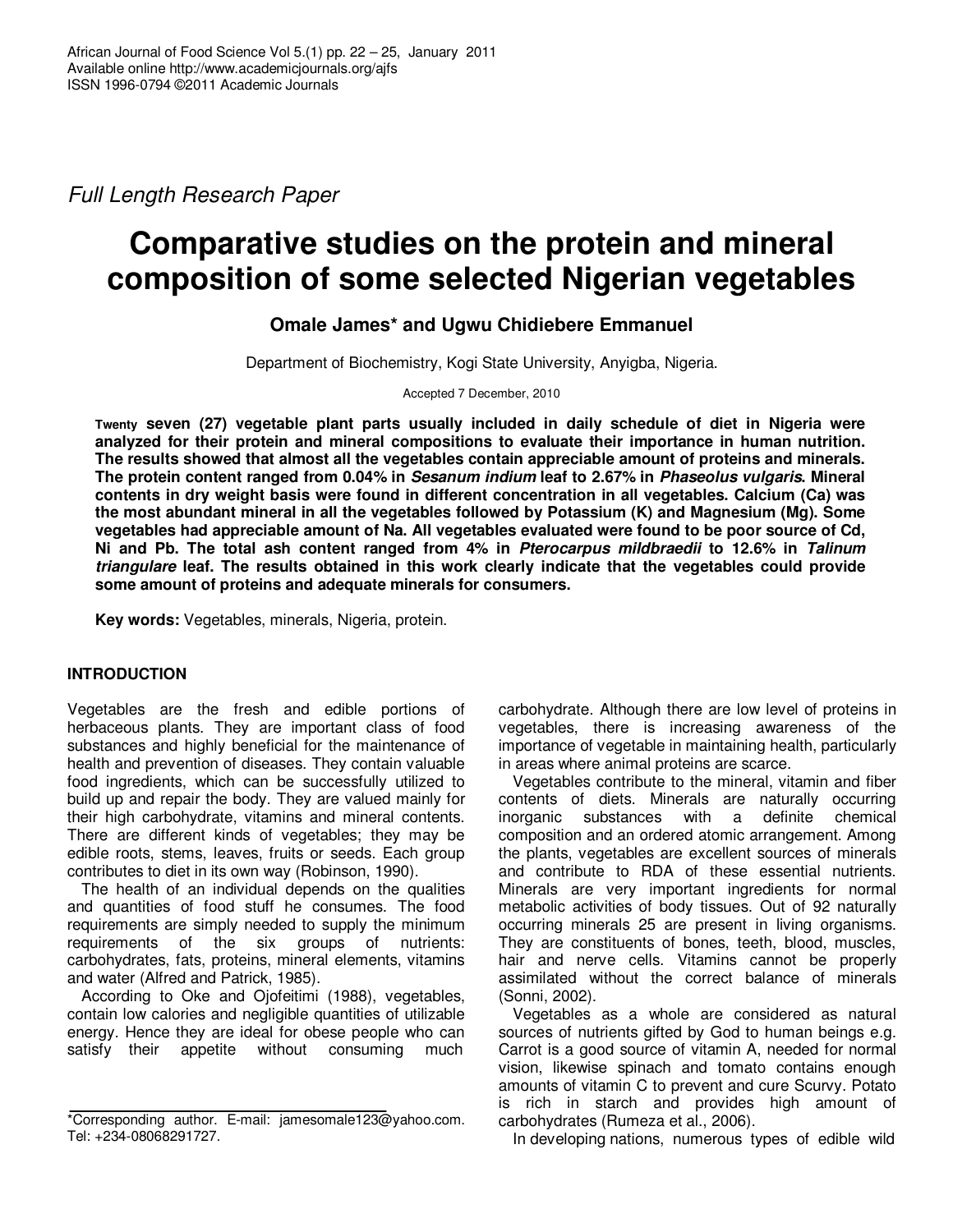Full Length Research Paper

# **Comparative studies on the protein and mineral composition of some selected Nigerian vegetables**

**Omale James\* and Ugwu Chidiebere Emmanuel** 

Department of Biochemistry, Kogi State University, Anyigba, Nigeria.

Accepted 7 December, 2010

**Twenty seven (27) vegetable plant parts usually included in daily schedule of diet in Nigeria were analyzed for their protein and mineral compositions to evaluate their importance in human nutrition. The results showed that almost all the vegetables contain appreciable amount of proteins and minerals. The protein content ranged from 0.04% in Sesanum indium leaf to 2.67% in Phaseolus vulgaris. Mineral contents in dry weight basis were found in different concentration in all vegetables. Calcium (Ca) was the most abundant mineral in all the vegetables followed by Potassium (K) and Magnesium (Mg). Some vegetables had appreciable amount of Na. All vegetables evaluated were found to be poor source of Cd, Ni and Pb. The total ash content ranged from 4% in Pterocarpus mildbraedii to 12.6% in Talinum triangulare leaf. The results obtained in this work clearly indicate that the vegetables could provide some amount of proteins and adequate minerals for consumers.** 

**Key words:** Vegetables, minerals, Nigeria, protein.

## **INTRODUCTION**

Vegetables are the fresh and edible portions of herbaceous plants. They are important class of food substances and highly beneficial for the maintenance of health and prevention of diseases. They contain valuable food ingredients, which can be successfully utilized to build up and repair the body. They are valued mainly for their high carbohydrate, vitamins and mineral contents. There are different kinds of vegetables; they may be edible roots, stems, leaves, fruits or seeds. Each group contributes to diet in its own way (Robinson, 1990).

The health of an individual depends on the qualities and quantities of food stuff he consumes. The food requirements are simply needed to supply the minimum requirements of the six groups of nutrients: carbohydrates, fats, proteins, mineral elements, vitamins and water (Alfred and Patrick, 1985).

According to Oke and Ojofeitimi (1988), vegetables, contain low calories and negligible quantities of utilizable energy. Hence they are ideal for obese people who can satisfy their appetite without consuming much

carbohydrate. Although there are low level of proteins in vegetables, there is increasing awareness of the importance of vegetable in maintaining health, particularly in areas where animal proteins are scarce.

Vegetables contribute to the mineral, vitamin and fiber contents of diets. Minerals are naturally occurring inorganic substances with a definite chemical composition and an ordered atomic arrangement. Among the plants, vegetables are excellent sources of minerals and contribute to RDA of these essential nutrients. Minerals are very important ingredients for normal metabolic activities of body tissues. Out of 92 naturally occurring minerals 25 are present in living organisms. They are constituents of bones, teeth, blood, muscles, hair and nerve cells. Vitamins cannot be properly assimilated without the correct balance of minerals (Sonni, 2002).

Vegetables as a whole are considered as natural sources of nutrients gifted by God to human beings e.g. Carrot is a good source of vitamin A, needed for normal vision, likewise spinach and tomato contains enough amounts of vitamin C to prevent and cure Scurvy. Potato is rich in starch and provides high amount of carbohydrates (Rumeza et al., 2006).

In developing nations, numerous types of edible wild

<sup>\*</sup>Corresponding author. E-mail: jamesomale123@yahoo.com. Tel: +234-08068291727.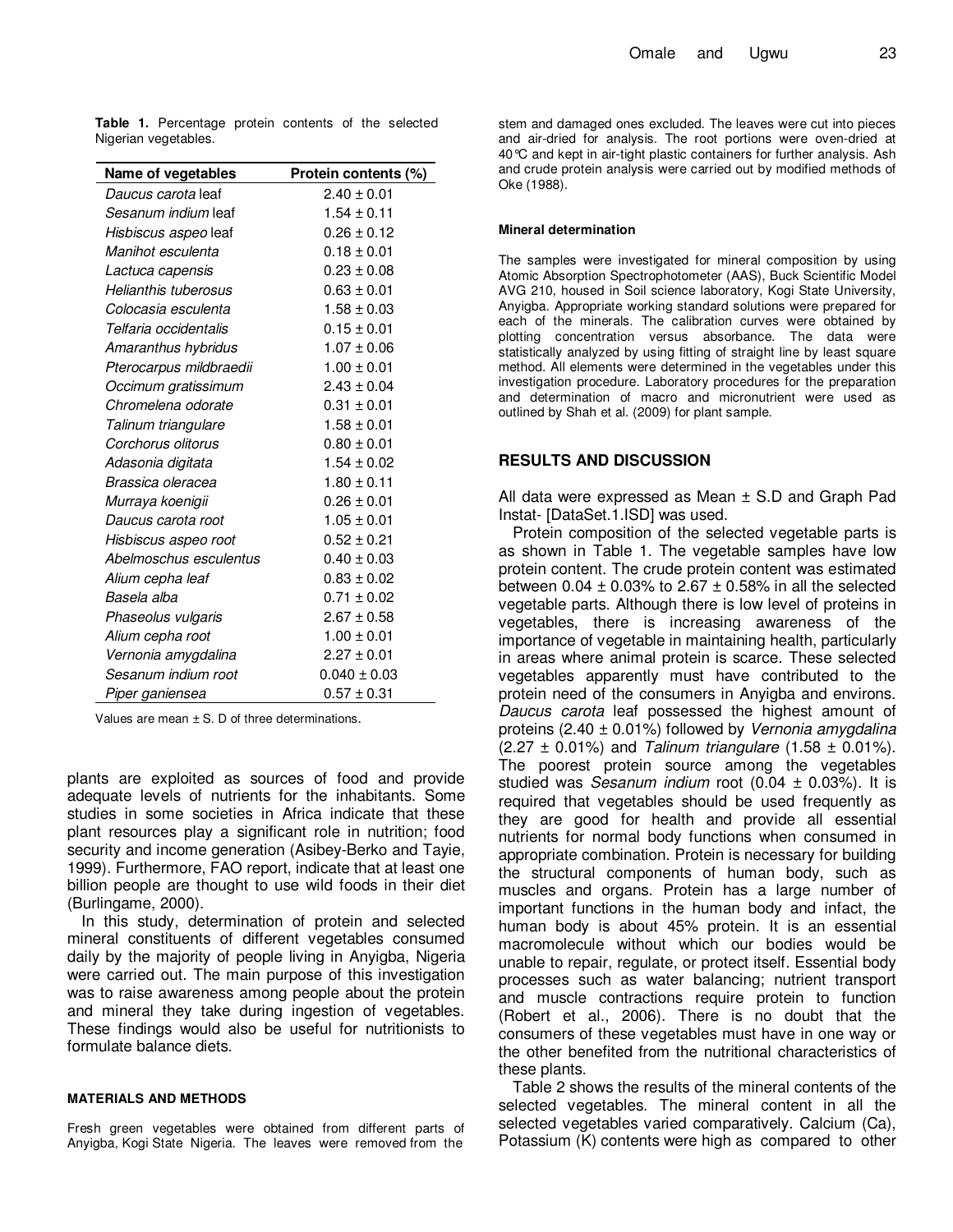**Table 1.** Percentage protein contents of the selected Nigerian vegetables.

| <b>Name of vegetables</b>   | Protein contents (%) |
|-----------------------------|----------------------|
| Daucus carota leaf          | $2.40 \pm 0.01$      |
| Sesanum indium leaf         | $1.54 \pm 0.11$      |
| <i>Hisbiscus aspeo</i> leaf | $0.26 \pm 0.12$      |
| Manihot esculenta           | $0.18 \pm 0.01$      |
| Lactuca capensis            | $0.23 \pm 0.08$      |
| Helianthis tuberosus        | $0.63 \pm 0.01$      |
| Colocasia esculenta         | $1.58 \pm 0.03$      |
| Telfaria occidentalis       | $0.15 \pm 0.01$      |
| Amaranthus hybridus         | $1.07 \pm 0.06$      |
| Pterocarpus mildbraedii     | $1.00 \pm 0.01$      |
| Occimum gratissimum         | $2.43 \pm 0.04$      |
| Chromelena odorate          | $0.31 \pm 0.01$      |
| Talinum triangulare         | $1.58 \pm 0.01$      |
| Corchorus olitorus          | $0.80 \pm 0.01$      |
| Adasonia digitata           | $1.54 \pm 0.02$      |
| Brassica oleracea           | $1.80 \pm 0.11$      |
| Murraya koenigii            | $0.26 \pm 0.01$      |
| Daucus carota root          | $1.05 \pm 0.01$      |
| Hisbiscus aspeo root        | $0.52 \pm 0.21$      |
| Abelmoschus esculentus      | $0.40 \pm 0.03$      |
| Alium cepha leaf            | $0.83 \pm 0.02$      |
| Basela alba                 | $0.71 \pm 0.02$      |
| Phaseolus vulgaris          | $2.67 \pm 0.58$      |
| Alium cepha root            | $1.00 \pm 0.01$      |
| Vernonia amygdalina         | $2.27 \pm 0.01$      |
| Sesanum indium root         | $0.040 \pm 0.03$     |
| Piper ganiensea             | $0.57 \pm 0.31$      |

Values are mean  $\pm$  S. D of three determinations.

plants are exploited as sources of food and provide adequate levels of nutrients for the inhabitants. Some studies in some societies in Africa indicate that these plant resources play a significant role in nutrition; food security and income generation (Asibey-Berko and Tayie, 1999). Furthermore, FAO report, indicate that at least one billion people are thought to use wild foods in their diet (Burlingame, 2000).

In this study, determination of protein and selected mineral constituents of different vegetables consumed daily by the majority of people living in Anyigba, Nigeria were carried out. The main purpose of this investigation was to raise awareness among people about the protein and mineral they take during ingestion of vegetables. These findings would also be useful for nutritionists to formulate balance diets.

#### **MATERIALS AND METHODS**

Fresh green vegetables were obtained from different parts of Anyigba, Kogi State Nigeria. The leaves were removed from the

stem and damaged ones excluded. The leaves were cut into pieces and air-dried for analysis. The root portions were oven-dried at 40°C and kept in air-tight plastic containers for further analysis. Ash and crude protein analysis were carried out by modified methods of Oke (1988).

#### **Mineral determination**

The samples were investigated for mineral composition by using Atomic Absorption Spectrophotometer (AAS), Buck Scientific Model AVG 210, housed in Soil science laboratory, Kogi State University, Anyigba. Appropriate working standard solutions were prepared for each of the minerals. The calibration curves were obtained by plotting concentration versus absorbance. The data were statistically analyzed by using fitting of straight line by least square method. All elements were determined in the vegetables under this investigation procedure. Laboratory procedures for the preparation and determination of macro and micronutrient were used as outlined by Shah et al. (2009) for plant sample.

### **RESULTS AND DISCUSSION**

All data were expressed as Mean ± S.D and Graph Pad Instat- [DataSet.1.ISD] was used.

Protein composition of the selected vegetable parts is as shown in Table 1. The vegetable samples have low protein content. The crude protein content was estimated between 0.04  $\pm$  0.03% to 2.67  $\pm$  0.58% in all the selected vegetable parts. Although there is low level of proteins in vegetables, there is increasing awareness of the importance of vegetable in maintaining health, particularly in areas where animal protein is scarce. These selected vegetables apparently must have contributed to the protein need of the consumers in Anyigba and environs. Daucus carota leaf possessed the highest amount of proteins (2.40  $\pm$  0.01%) followed by Vernonia amygdalina  $(2.27 \pm 0.01\%)$  and Talinum triangulare  $(1.58 \pm 0.01\%).$ The poorest protein source among the vegetables studied was *Sesanum indium* root  $(0.04 \pm 0.03\%)$ . It is required that vegetables should be used frequently as they are good for health and provide all essential nutrients for normal body functions when consumed in appropriate combination. Protein is necessary for building the structural components of human body, such as muscles and organs. Protein has a large number of important functions in the human body and infact, the human body is about 45% protein. It is an essential macromolecule without which our bodies would be unable to repair, regulate, or protect itself. Essential body processes such as water balancing; nutrient transport and muscle contractions require protein to function (Robert et al., 2006). There is no doubt that the consumers of these vegetables must have in one way or the other benefited from the nutritional characteristics of these plants.

Table 2 shows the results of the mineral contents of the selected vegetables. The mineral content in all the selected vegetables varied comparatively. Calcium (Ca), Potassium (K) contents were high as compared to other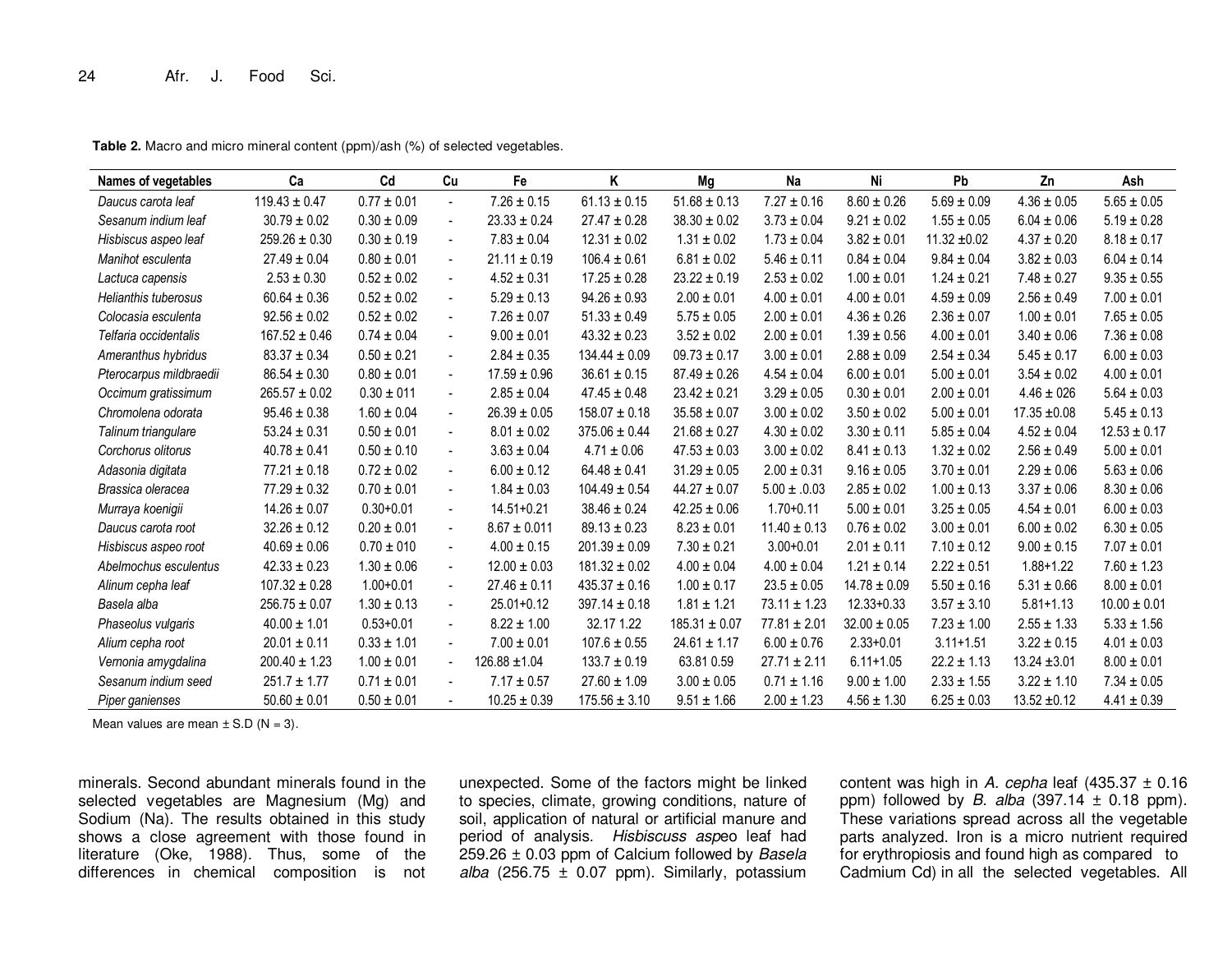| Names of vegetables     | Ca                | Cd              | Cu                       | Fe                | K                 | Mg                | Na               | Ni               | Pb               | Zn               | Ash              |
|-------------------------|-------------------|-----------------|--------------------------|-------------------|-------------------|-------------------|------------------|------------------|------------------|------------------|------------------|
| Daucus carota leaf      | $119.43 \pm 0.47$ | $0.77 \pm 0.01$ | $\sim$                   | $7.26 \pm 0.15$   | $61.13 \pm 0.15$  | $51.68 \pm 0.13$  | $7.27 \pm 0.16$  | $8.60 \pm 0.26$  | $5.69 \pm 0.09$  | $4.36 \pm 0.05$  | $5.65 \pm 0.05$  |
| Sesanum indium leaf     | $30.79 \pm 0.02$  | $0.30 \pm 0.09$ | $\blacksquare$           | $23.33 \pm 0.24$  | $27.47 \pm 0.28$  | $38.30 \pm 0.02$  | $3.73 \pm 0.04$  | $9.21 \pm 0.02$  | $1.55 \pm 0.05$  | $6.04 \pm 0.06$  | $5.19 \pm 0.28$  |
| Hisbiscus aspeo leaf    | $259.26 \pm 0.30$ | $0.30 \pm 0.19$ | $\blacksquare$           | $7.83 \pm 0.04$   | $12.31 \pm 0.02$  | $1.31 \pm 0.02$   | $1.73 \pm 0.04$  | $3.82 \pm 0.01$  | $11.32 \pm 0.02$ | $4.37 \pm 0.20$  | $8.18 \pm 0.17$  |
| Manihot esculenta       | $27.49 \pm 0.04$  | $0.80 \pm 0.01$ | $\sim$                   | $21.11 \pm 0.19$  | $106.4 \pm 0.61$  | $6.81 \pm 0.02$   | $5.46 \pm 0.11$  | $0.84 \pm 0.04$  | $9.84 \pm 0.04$  | $3.82 \pm 0.03$  | $6.04 \pm 0.14$  |
| Lactuca capensis        | $2.53 \pm 0.30$   | $0.52 \pm 0.02$ | $\blacksquare$           | $4.52 \pm 0.31$   | $17.25 \pm 0.28$  | $23.22 \pm 0.19$  | $2.53 \pm 0.02$  | $1.00 \pm 0.01$  | $1.24 \pm 0.21$  | $7.48 \pm 0.27$  | $9.35 \pm 0.55$  |
| Helianthis tuberosus    | $60.64 \pm 0.36$  | $0.52 \pm 0.02$ | $\overline{\phantom{a}}$ | $5.29 \pm 0.13$   | $94.26 \pm 0.93$  | $2.00 \pm 0.01$   | $4.00 \pm 0.01$  | $4.00 \pm 0.01$  | $4.59 \pm 0.09$  | $2.56 \pm 0.49$  | $7.00 \pm 0.01$  |
| Colocasia esculenta     | $92.56 \pm 0.02$  | $0.52 \pm 0.02$ | $\blacksquare$           | $7.26 \pm 0.07$   | $51.33 \pm 0.49$  | $5.75 \pm 0.05$   | $2.00 \pm 0.01$  | $4.36 \pm 0.26$  | $2.36 \pm 0.07$  | $1.00 \pm 0.01$  | $7.65 \pm 0.05$  |
| Telfaria occidentalis   | $167.52 \pm 0.46$ | $0.74 \pm 0.04$ | $\blacksquare$           | $9.00 \pm 0.01$   | $43.32 \pm 0.23$  | $3.52 \pm 0.02$   | $2.00 \pm 0.01$  | $1.39 \pm 0.56$  | $4.00 \pm 0.01$  | $3.40 \pm 0.06$  | $7.36 \pm 0.08$  |
| Ameranthus hybridus     | $83.37 \pm 0.34$  | $0.50 \pm 0.21$ | $\blacksquare$           | $2.84 \pm 0.35$   | $134.44 \pm 0.09$ | $09.73 \pm 0.17$  | $3.00 \pm 0.01$  | $2.88 \pm 0.09$  | $2.54 \pm 0.34$  | $5.45 \pm 0.17$  | $6.00 \pm 0.03$  |
| Pterocarpus mildbraedii | $86.54 \pm 0.30$  | $0.80 \pm 0.01$ | $\blacksquare$           | $17.59 \pm 0.96$  | $36.61 \pm 0.15$  | $87.49 \pm 0.26$  | $4.54 \pm 0.04$  | $6.00 \pm 0.01$  | $5.00 \pm 0.01$  | $3.54 \pm 0.02$  | $4.00 \pm 0.01$  |
| Occimum gratissimum     | $265.57 \pm 0.02$ | $0.30 \pm 011$  | $\blacksquare$           | $2.85 \pm 0.04$   | $47.45 \pm 0.48$  | $23.42 \pm 0.21$  | $3.29 \pm 0.05$  | $0.30 \pm 0.01$  | $2.00 \pm 0.01$  | $4.46 \pm 026$   | $5.64 \pm 0.03$  |
| Chromolena odorata      | $95.46 \pm 0.38$  | $1.60 \pm 0.04$ | $\blacksquare$           | $26.39 \pm 0.05$  | $158.07 \pm 0.18$ | $35.58 \pm 0.07$  | $3.00 \pm 0.02$  | $3.50 \pm 0.02$  | $5.00 \pm 0.01$  | $17.35 \pm 0.08$ | $5.45 \pm 0.13$  |
| Talinum triangulare     | $53.24 \pm 0.31$  | $0.50 \pm 0.01$ | $\blacksquare$           | $8.01 \pm 0.02$   | $375.06 \pm 0.44$ | $21.68 \pm 0.27$  | $4.30 \pm 0.02$  | $3.30 \pm 0.11$  | $5.85 \pm 0.04$  | $4.52 \pm 0.04$  | $12.53 \pm 0.17$ |
| Corchorus olitorus      | $40.78 \pm 0.41$  | $0.50 \pm 0.10$ | $\blacksquare$           | $3.63 \pm 0.04$   | $4.71 \pm 0.06$   | $47.53 \pm 0.03$  | $3.00 \pm 0.02$  | $8.41 \pm 0.13$  | $1.32 \pm 0.02$  | $2.56 \pm 0.49$  | $5.00 \pm 0.01$  |
| Adasonia digitata       | $77.21 \pm 0.18$  | $0.72 \pm 0.02$ | $\blacksquare$           | $6.00 \pm 0.12$   | $64.48 \pm 0.41$  | $31.29 \pm 0.05$  | $2.00 \pm 0.31$  | $9.16 \pm 0.05$  | $3.70 \pm 0.01$  | $2.29 \pm 0.06$  | $5.63 \pm 0.06$  |
| Brassica oleracea       | $77.29 \pm 0.32$  | $0.70 \pm 0.01$ | $\overline{\phantom{a}}$ | $1.84 \pm 0.03$   | $104.49 \pm 0.54$ | $44.27 \pm 0.07$  | $5.00 \pm .0.03$ | $2.85 \pm 0.02$  | $1.00 \pm 0.13$  | $3.37 \pm 0.06$  | $8.30 \pm 0.06$  |
| Murraya koenigii        | $14.26 \pm 0.07$  | $0.30 + 0.01$   | $\blacksquare$           | $14.51 + 0.21$    | $38.46 \pm 0.24$  | $42.25 \pm 0.06$  | $1.70 + 0.11$    | $5.00 \pm 0.01$  | $3.25 \pm 0.05$  | $4.54 \pm 0.01$  | $6.00 \pm 0.03$  |
| Daucus carota root      | $32.26 \pm 0.12$  | $0.20 \pm 0.01$ | $\blacksquare$           | $8.67 \pm 0.011$  | $89.13 \pm 0.23$  | $8.23 \pm 0.01$   | $11.40 \pm 0.13$ | $0.76 \pm 0.02$  | $3.00 \pm 0.01$  | $6.00 \pm 0.02$  | $6.30 \pm 0.05$  |
| Hisbiscus aspeo root    | $40.69 \pm 0.06$  | $0.70 \pm 010$  | $\overline{\phantom{a}}$ | $4.00 \pm 0.15$   | $201.39 \pm 0.09$ | $7.30 \pm 0.21$   | $3.00 + 0.01$    | $2.01 \pm 0.11$  | $7.10 \pm 0.12$  | $9.00 \pm 0.15$  | $7.07 \pm 0.01$  |
| Abelmochus esculentus   | $42.33 \pm 0.23$  | $1.30 \pm 0.06$ | $\blacksquare$           | $12.00 \pm 0.03$  | $181.32 \pm 0.02$ | $4.00 \pm 0.04$   | $4.00 \pm 0.04$  | $1.21 \pm 0.14$  | $2.22 \pm 0.51$  | $1.88 + 1.22$    | $7.60 \pm 1.23$  |
| Alinum cepha leaf       | $107.32 \pm 0.28$ | $1.00 + 0.01$   | $\blacksquare$           | $27.46 \pm 0.11$  | $435.37 \pm 0.16$ | $1.00 \pm 0.17$   | $23.5 \pm 0.05$  | $14.78 \pm 0.09$ | $5.50 \pm 0.16$  | $5.31 \pm 0.66$  | $8.00 \pm 0.01$  |
| Basela alba             | $256.75 \pm 0.07$ | $1.30 \pm 0.13$ | $\blacksquare$           | $25.01 + 0.12$    | $397.14 \pm 0.18$ | $1.81 \pm 1.21$   | $73.11 \pm 1.23$ | $12.33 + 0.33$   | $3.57 \pm 3.10$  | $5.81 + 1.13$    | $10.00 \pm 0.01$ |
| Phaseolus vulgaris      | $40.00 \pm 1.01$  | $0.53 + 0.01$   | $\blacksquare$           | $8.22 \pm 1.00$   | 32.17 1.22        | $185.31 \pm 0.07$ | $77.81 \pm 2.01$ | $32.00 \pm 0.05$ | $7.23 \pm 1.00$  | $2.55 \pm 1.33$  | $5.33 \pm 1.56$  |
| Alium cepha root        | $20.01 \pm 0.11$  | $0.33 \pm 1.01$ | $\sim$                   | $7.00 \pm 0.01$   | $107.6\pm0.55$    | $24.61 \pm 1.17$  | $6.00 \pm 0.76$  | $2.33 + 0.01$    | $3.11 + 1.51$    | $3.22 \pm 0.15$  | $4.01 \pm 0.03$  |
| Vernonia amygdalina     | $200.40 \pm 1.23$ | $1.00 \pm 0.01$ | $\blacksquare$           | $126.88 \pm 1.04$ | $133.7 \pm 0.19$  | 63.81 0.59        | $27.71 \pm 2.11$ | $6.11 + 1.05$    | $22.2 \pm 1.13$  | $13.24 + 3.01$   | $8.00 \pm 0.01$  |
| Sesanum indium seed     | $251.7 \pm 1.77$  | $0.71 \pm 0.01$ | $\blacksquare$           | $7.17 \pm 0.57$   | $27.60 \pm 1.09$  | $3.00 \pm 0.05$   | $0.71 \pm 1.16$  | $9.00 \pm 1.00$  | $2.33 \pm 1.55$  | $3.22 \pm 1.10$  | $7.34 \pm 0.05$  |
| Piper ganienses         | $50.60 \pm 0.01$  | $0.50 \pm 0.01$ | $\blacksquare$           | $10.25 \pm 0.39$  | $175.56 \pm 3.10$ | $9.51 \pm 1.66$   | $2.00 \pm 1.23$  | $4.56 \pm 1.30$  | $6.25 \pm 0.03$  | $13.52 \pm 0.12$ | $4.41 \pm 0.39$  |

**Table 2.** Macro and micro mineral content (ppm)/ash (%) of selected vegetables.

Mean values are mean  $\pm$  S.D (N = 3).

minerals. Second abundant minerals found in the selected vegetables are Magnesium (Mg) and Sodium (Na). The results obtained in this study shows a close agreement with those found in literature (Oke, 1988). Thus, some of the differences in chemical composition is not

unexpected. Some of the factors might be linked to species, climate, growing conditions, nature of soil, application of natural or artificial manure andperiod of analysis. Hisbiscuss aspeo leaf had 259.26 ± 0.03 ppm of Calcium followed by Basela alba (256.75 ± 0.07 ppm). Similarly, potassium content was high in A. cepha leaf  $(435.37 \pm 0.16$ ppm) followed by *B. alba* (397.14 ± 0.18 ppm).<br>These variations spread across all the vegetable parts analyzed. Iron is a micro nutrient required for erythropiosis and found high as compared to Cadmium Cd) in all the selected vegetables. All